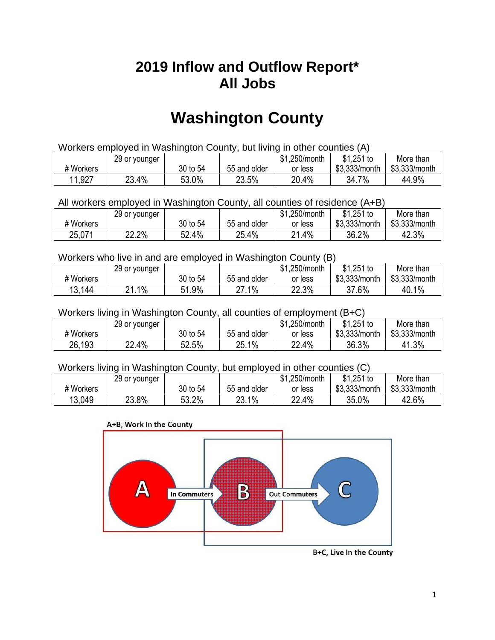## **2019 Inflow and Outflow Report\* All Jobs**

# **Washington County**

| Workers employed in Washington County, but living in other counties (A) |                                                           |          |              |         |               |               |  |  |  |
|-------------------------------------------------------------------------|-----------------------------------------------------------|----------|--------------|---------|---------------|---------------|--|--|--|
|                                                                         | \$1.251 to<br>More than<br>\$1,250/month<br>29 or younger |          |              |         |               |               |  |  |  |
| # Workers                                                               |                                                           | 30 to 54 | 55 and older | or less | \$3.333/month | \$3,333/month |  |  |  |
| 11,927                                                                  | 23.4%                                                     | 53.0%    | 23.5%        | 20.4%   | 34.7%         | 44.9%         |  |  |  |

All workers employed in Washington County, all counties of residence (A+B)

|           | 29 or younger |          |              | \$1,250/month  | \$1,251 to    | More than     |
|-----------|---------------|----------|--------------|----------------|---------------|---------------|
| # Workers |               | 30 to 54 | 55 and older | or less        | \$3,333/month | \$3,333/month |
| 25,071    | 22.2%         | 52.4%    | 25.4%        | $.4\%$<br>ິດ 4 | 36.2%         | 42.3%         |

Workers who live in and are employed in Washington County (B)

|           | 29 or younger |               |              | \$1,250/month | $$1,251$ to   | More than     |
|-----------|---------------|---------------|--------------|---------------|---------------|---------------|
| # Workers |               | 30 to 54      | 55 and older | or less       | \$3,333/month | \$3,333/month |
| 13,144    | ا .1%<br>ດ4   | 1.9%،<br>C 1. | 27.1%<br>ົາ  | 22.3%         | 37.6%         | 40.1%         |

Workers living in Washington County, all counties of employment (B+C)

|           | 29 or younger |          |              | \$1,250/month | \$1,251 to    | More than     |
|-----------|---------------|----------|--------------|---------------|---------------|---------------|
| # Workers |               | 30 to 54 | 55 and older | or less       | \$3,333/month | \$3,333/month |
| 26,193    | 22.4%         | 52.5%    | 25.1%        | 22.4%         | 36.3%         | 41.3%         |

#### Workers living in Washington County, but employed in other counties (C)

|           | 29 or younger |          |              | \$1,250/month | $$1,251$ to   | More than     |
|-----------|---------------|----------|--------------|---------------|---------------|---------------|
| # Workers |               | 30 to 54 | 55 and older | or less       | \$3,333/month | \$3,333/month |
| 13,049    | 23.8%         | 53.2%    | 23.1%        | 22.4%         | 35.0%         | 42.6%         |